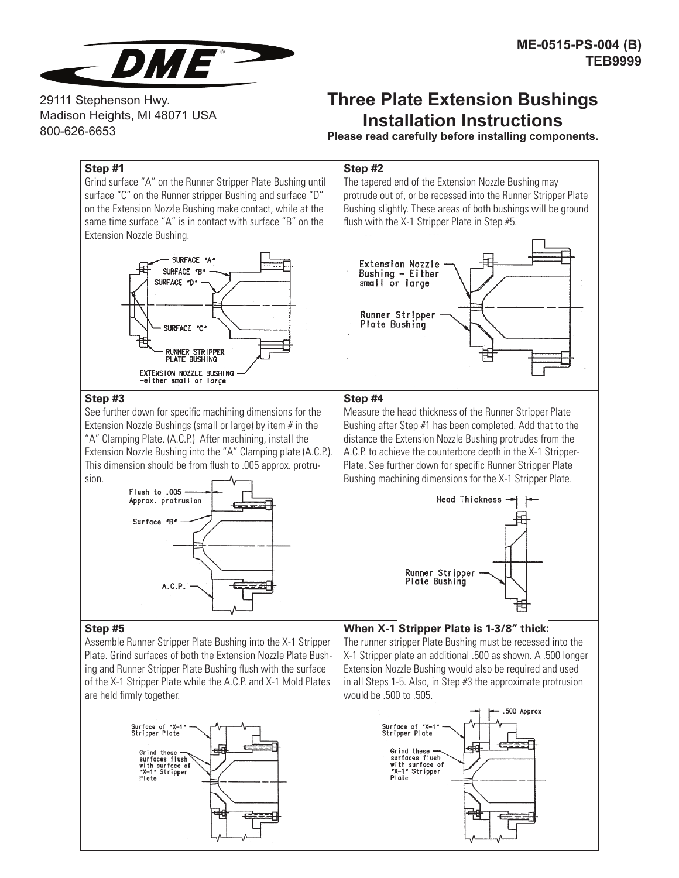

29111 Stephenson Hwy. Madison Heights, MI 48071 USA 800-626-6653

## **Three Plate Extension Bushings Installation Instructions**

**Please read carefully before installing components.**

## **Step #1**

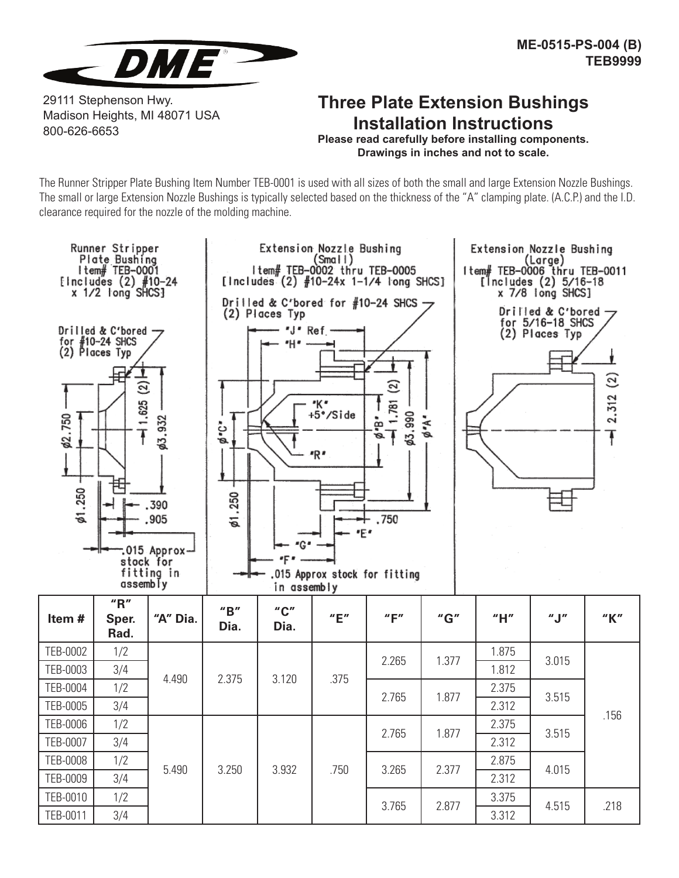

29111 Stephenson Hwy. Madison Heights, MI 48071 USA 800-626-6653

## **Three Plate Extension Bushings Installation Instructions**

**Please read carefully before installing components. Drawings in inches and not to scale.**

The Runner Stripper Plate Bushing Item Number TEB-0001 is used with all sizes of both the small and large Extension Nozzle Bushings. The small or large Extension Nozzle Bushings is typically selected based on the thickness of the "A" clamping plate. (A.C.P.) and the I.D. clearance required for the nozzle of the molding machine.